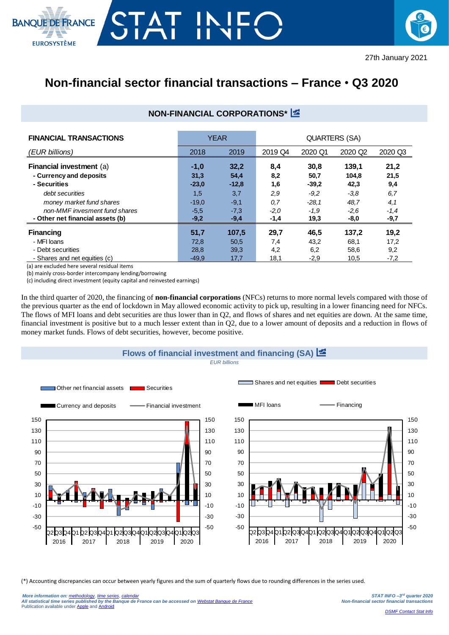



## **Non-financial sector financial transactions – France** • **Q3 2020**

## **NON-FINANCIAL CORPORATIONS\***

| <b>FINANCIAL TRANSACTIONS</b>    |         | <b>YEAR</b> | QUARTERS (SA) |         |                     |         |  |
|----------------------------------|---------|-------------|---------------|---------|---------------------|---------|--|
| (EUR billions)                   | 2018    | 2019        | 2019 Q4       | 2020 Q1 | 2020 Q <sub>2</sub> | 2020 Q3 |  |
| Financial investment (a)         | $-1,0$  | 32,2        | 8,4           | 30,8    | 139,1               | 21,2    |  |
| - Currency and deposits          | 31,3    | 54,4        | 8,2           | 50,7    | 104,8               | 21,5    |  |
| - Securities                     | $-23,0$ | $-12,8$     | 1,6           | $-39.2$ | 42,3                | 9,4     |  |
| debt securities                  | 1,5     | 3,7         | 2,9           | $-9.2$  | $-3.8$              | 6,7     |  |
| money market fund shares         | $-19,0$ | $-9,1$      | 0,7           | $-28.1$ | 48,7                | 4,1     |  |
| non-MMF invesment fund shares    | $-5.5$  | $-7,3$      | $-2,0$        | $-1,9$  | $-2,6$              | $-1,4$  |  |
| - Other net financial assets (b) | $-9,2$  | $-9,4$      | -1,4          | 19,3    | -8,0                | $-9,7$  |  |
| <b>Financing</b>                 | 51,7    | 107,5       | 29,7          | 46,5    | 137,2               | 19,2    |  |
| - MFI loans                      | 72,8    | 50,5        | 7,4           | 43,2    | 68,1                | 17,2    |  |
| - Debt securities                | 28,8    | 39,3        | 4,2           | 6,2     | 58,6                | 9,2     |  |
| - Shares and net equities (c)    | $-49.9$ | 17,7        | 18,1          | $-2,9$  | 10,5                | $-7,2$  |  |

(a) are excluded here several residual items

(b) mainly cross-border intercompany lending/borrowing

(c) including direct investment (equity capital and reinvested earnings)

In the third quarter of 2020, the financing of **non-financial corporations** (NFCs) returns to more normal levels compared with those of the previous quarter as the end of lockdown in May allowed economic activity to pick up, resulting in a lower financing need for NFCs. The flows of MFI loans and debt securities are thus lower than in Q2, and flows of shares and net equities are down. At the same time, financial investment is positive but to a much lesser extent than in Q2, due to a lower amount of deposits and a reduction in flows of money market funds. Flows of debt securities, however, become positive.



(\*) Accounting discrepancies can occur between yearly figures and the sum of quarterly flows due to rounding differences in the series used.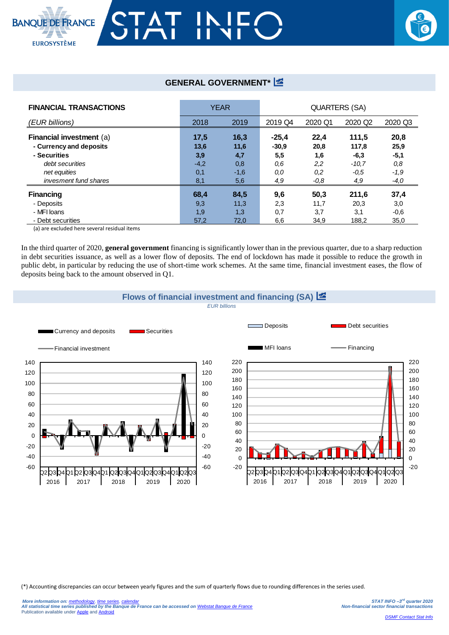



## **GENERAL GOVERNMENT\***

| <b>FINANCIAL TRANSACTIONS</b> | <b>YEAR</b> |        | <b>QUARTERS (SA)</b> |         |                     |         |  |
|-------------------------------|-------------|--------|----------------------|---------|---------------------|---------|--|
| (EUR billions)                | 2018        | 2019   | 2019 Q4              | 2020 Q1 | 2020 Q <sub>2</sub> | 2020 Q3 |  |
| Financial investment (a)      | 17,5        | 16,3   | $-25.4$              | 22,4    | 111,5               | 20,8    |  |
| - Currency and deposits       | 13,6        | 11,6   | $-30,9$              | 20,8    | 117,8               | 25,9    |  |
| - Securities                  | 3,9         | 4,7    | 5,5                  | 1,6     | $-6,3$              | $-5,1$  |  |
| debt securities               | $-4,2$      | 0,8    | 0.6                  | 2,2     | $-10.7$             | 0,8     |  |
| net equities                  | 0,1         | $-1,6$ | 0,0                  | 0,2     | $-0.5$              | $-1.9$  |  |
| invesment fund shares         | 8.1         | 5,6    | 4,9                  | -0,8    | 4,9                 | $-4,0$  |  |
| <b>Financing</b>              | 68,4        | 84,5   | 9,6                  | 50,3    | 211,6               | 37,4    |  |
| - Deposits                    | 9,3         | 11,3   | 2,3                  | 11,7    | 20,3                | 3,0     |  |
| - MFI Ioans                   | 1,9         | 1,3    | 0,7                  | 3,7     | 3,1                 | $-0,6$  |  |
| - Debt securities             | 57,2        | 72,0   | 6,6                  | 34,9    | 188,2               | 35,0    |  |

(a) are excluded here several residual items

In the third quarter of 2020, **general government** financing is significantly lower than in the previous quarter, due to a sharp reduction in debt securities issuance, as well as a lower flow of deposits. The end of lockdown has made it possible to reduce the growth in public debt, in particular by reducing the use of short-time work schemes. At the same time, financial investment eases, the flow of deposits being back to the amount observed in Q1.



(\*) Accounting discrepancies can occur between yearly figures and the sum of quarterly flows due to rounding differences in the series used.